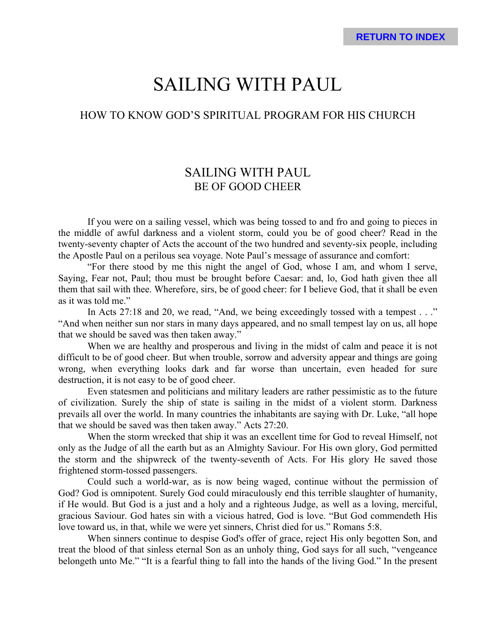# SAILING WITH PAUL

# HOW TO KNOW GOD'S SPIRITUAL PROGRAM FOR HIS CHURCH

# SAILING WITH PAUL BE OF GOOD CHEER

If you were on a sailing vessel, which was being tossed to and fro and going to pieces in the middle of awful darkness and a violent storm, could you be of good cheer? Read in the twenty-seventy chapter of Acts the account of the two hundred and seventy-six people, including the Apostle Paul on a perilous sea voyage. Note Paul's message of assurance and comfort:

"For there stood by me this night the angel of God, whose I am, and whom I serve, Saying, Fear not, Paul; thou must be brought before Caesar: and, lo, God hath given thee all them that sail with thee. Wherefore, sirs, be of good cheer: for I believe God, that it shall be even as it was told me."

In Acts 27:18 and 20, we read, "And, we being exceedingly tossed with a tempest . . ." "And when neither sun nor stars in many days appeared, and no small tempest lay on us, all hope that we should be saved was then taken away."

When we are healthy and prosperous and living in the midst of calm and peace it is not difficult to be of good cheer. But when trouble, sorrow and adversity appear and things are going wrong, when everything looks dark and far worse than uncertain, even headed for sure destruction, it is not easy to be of good cheer.

Even statesmen and politicians and military leaders are rather pessimistic as to the future of civilization. Surely the ship of state is sailing in the midst of a violent storm. Darkness prevails all over the world. In many countries the inhabitants are saying with Dr. Luke, "all hope that we should be saved was then taken away." Acts 27:20.

When the storm wrecked that ship it was an excellent time for God to reveal Himself, not only as the Judge of all the earth but as an Almighty Saviour. For His own glory, God permitted the storm and the shipwreck of the twenty-seventh of Acts. For His glory He saved those frightened storm-tossed passengers.

Could such a world-war, as is now being waged, continue without the permission of God? God is omnipotent. Surely God could miraculously end this terrible slaughter of humanity, if He would. But God is a just and a holy and a righteous Judge, as well as a loving, merciful, gracious Saviour. God hates sin with a vicious hatred, God is love. "But God commendeth His love toward us, in that, while we were yet sinners, Christ died for us." Romans 5:8.

When sinners continue to despise God's offer of grace, reject His only begotten Son, and treat the blood of that sinless eternal Son as an unholy thing, God says for all such, "vengeance belongeth unto Me." "It is a fearful thing to fall into the hands of the living God." In the present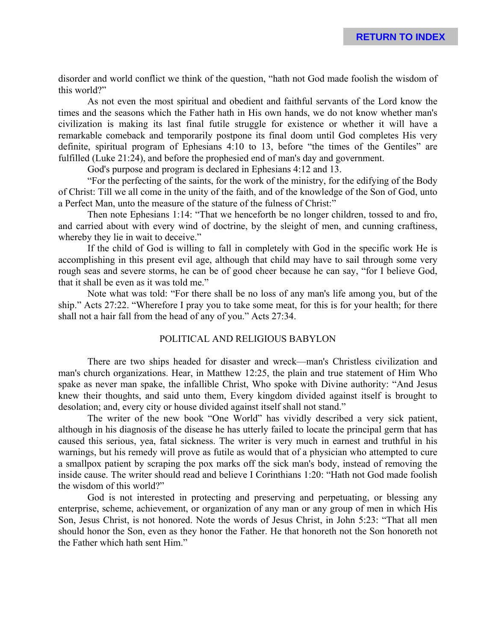disorder and world conflict we think of the question, "hath not God made foolish the wisdom of this world?"

As not even the most spiritual and obedient and faithful servants of the Lord know the times and the seasons which the Father hath in His own hands, we do not know whether man's civilization is making its last final futile struggle for existence or whether it will have a remarkable comeback and temporarily postpone its final doom until God completes His very definite, spiritual program of Ephesians 4:10 to 13, before "the times of the Gentiles" are fulfilled (Luke 21:24), and before the prophesied end of man's day and government.

God's purpose and program is declared in Ephesians 4:12 and 13.

"For the perfecting of the saints, for the work of the ministry, for the edifying of the Body of Christ: Till we all come in the unity of the faith, and of the knowledge of the Son of God, unto a Perfect Man, unto the measure of the stature of the fulness of Christ:"

Then note Ephesians 1:14: "That we henceforth be no longer children, tossed to and fro, and carried about with every wind of doctrine, by the sleight of men, and cunning craftiness, whereby they lie in wait to deceive."

If the child of God is willing to fall in completely with God in the specific work He is accomplishing in this present evil age, although that child may have to sail through some very rough seas and severe storms, he can be of good cheer because he can say, "for I believe God, that it shall be even as it was told me."

Note what was told: "For there shall be no loss of any man's life among you, but of the ship." Acts 27:22. "Wherefore I pray you to take some meat, for this is for your health; for there shall not a hair fall from the head of any of you." Acts 27:34.

# POLITICAL AND RELIGIOUS BABYLON

There are two ships headed for disaster and wreck—man's Christless civilization and man's church organizations. Hear, in Matthew 12:25, the plain and true statement of Him Who spake as never man spake, the infallible Christ, Who spoke with Divine authority: "And Jesus knew their thoughts, and said unto them, Every kingdom divided against itself is brought to desolation; and, every city or house divided against itself shall not stand."

The writer of the new book "One World" has vividly described a very sick patient, although in his diagnosis of the disease he has utterly failed to locate the principal germ that has caused this serious, yea, fatal sickness. The writer is very much in earnest and truthful in his warnings, but his remedy will prove as futile as would that of a physician who attempted to cure a smallpox patient by scraping the pox marks off the sick man's body, instead of removing the inside cause. The writer should read and believe I Corinthians 1:20: "Hath not God made foolish the wisdom of this world?"

God is not interested in protecting and preserving and perpetuating, or blessing any enterprise, scheme, achievement, or organization of any man or any group of men in which His Son, Jesus Christ, is not honored. Note the words of Jesus Christ, in John 5:23: "That all men should honor the Son, even as they honor the Father. He that honoreth not the Son honoreth not the Father which hath sent Him."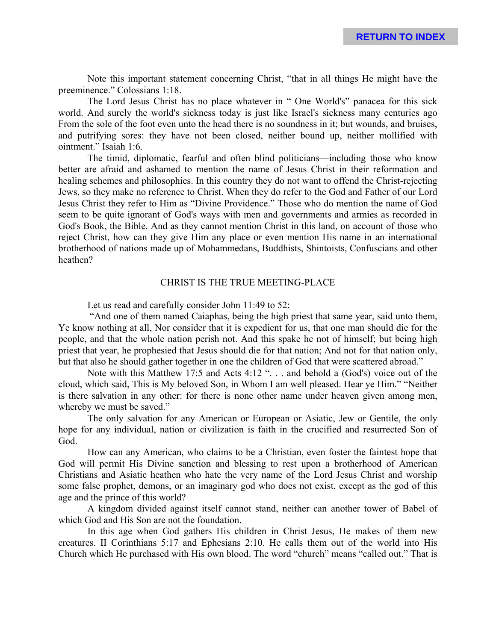Note this important statement concerning Christ, "that in all things He might have the preeminence." Colossians 1:18.

The Lord Jesus Christ has no place whatever in " One World's" panacea for this sick world. And surely the world's sickness today is just like Israel's sickness many centuries ago From the sole of the foot even unto the head there is no soundness in it; but wounds, and bruises, and putrifying sores: they have not been closed, neither bound up, neither mollified with ointment." Isaiah 1:6.

The timid, diplomatic, fearful and often blind politicians—including those who know better are afraid and ashamed to mention the name of Jesus Christ in their reformation and healing schemes and philosophies. In this country they do not want to offend the Christ-rejecting Jews, so they make no reference to Christ. When they do refer to the God and Father of our Lord Jesus Christ they refer to Him as "Divine Providence." Those who do mention the name of God seem to be quite ignorant of God's ways with men and governments and armies as recorded in God's Book, the Bible. And as they cannot mention Christ in this land, on account of those who reject Christ, how can they give Him any place or even mention His name in an international brotherhood of nations made up of Mohammedans, Buddhists, Shintoists, Confuscians and other heathen?

#### CHRIST IS THE TRUE MEETING-PLACE

Let us read and carefully consider John 11:49 to 52:

 "And one of them named Caiaphas, being the high priest that same year, said unto them, Ye know nothing at all, Nor consider that it is expedient for us, that one man should die for the people, and that the whole nation perish not. And this spake he not of himself; but being high priest that year, he prophesied that Jesus should die for that nation; And not for that nation only, but that also he should gather together in one the children of God that were scattered abroad."

Note with this Matthew 17:5 and Acts 4:12 ". . . and behold a (God's) voice out of the cloud, which said, This is My beloved Son, in Whom I am well pleased. Hear ye Him." "Neither is there salvation in any other: for there is none other name under heaven given among men, whereby we must be saved."

The only salvation for any American or European or Asiatic, Jew or Gentile, the only hope for any individual, nation or civilization is faith in the crucified and resurrected Son of God.

How can any American, who claims to be a Christian, even foster the faintest hope that God will permit His Divine sanction and blessing to rest upon a brotherhood of American Christians and Asiatic heathen who hate the very name of the Lord Jesus Christ and worship some false prophet, demons, or an imaginary god who does not exist, except as the god of this age and the prince of this world?

A kingdom divided against itself cannot stand, neither can another tower of Babel of which God and His Son are not the foundation.

In this age when God gathers His children in Christ Jesus, He makes of them new creatures. II Corinthians 5:17 and Ephesians 2:10. He calls them out of the world into His Church which He purchased with His own blood. The word "church" means "called out." That is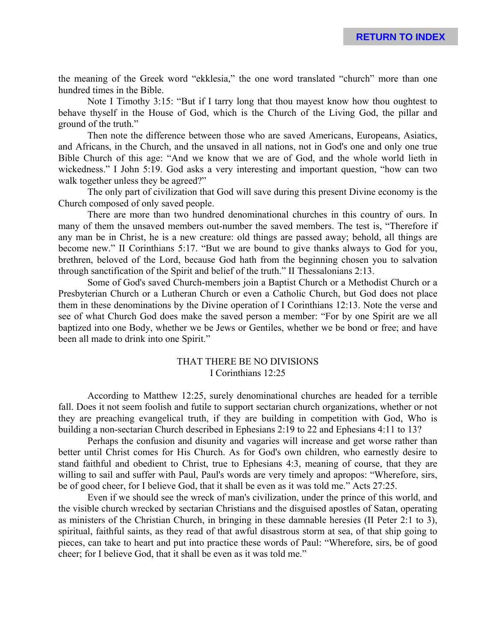the meaning of the Greek word "ekklesia," the one word translated "church" more than one hundred times in the Bible.

Note I Timothy 3:15: "But if I tarry long that thou mayest know how thou oughtest to behave thyself in the House of God, which is the Church of the Living God, the pillar and ground of the truth."

Then note the difference between those who are saved Americans, Europeans, Asiatics, and Africans, in the Church, and the unsaved in all nations, not in God's one and only one true Bible Church of this age: "And we know that we are of God, and the whole world lieth in wickedness." I John 5:19. God asks a very interesting and important question, "how can two walk together unless they be agreed?"

The only part of civilization that God will save during this present Divine economy is the Church composed of only saved people.

There are more than two hundred denominational churches in this country of ours. In many of them the unsaved members out-number the saved members. The test is, "Therefore if any man be in Christ, he is a new creature: old things are passed away; behold, all things are become new." II Corinthians 5:17. "But we are bound to give thanks always to God for you, brethren, beloved of the Lord, because God hath from the beginning chosen you to salvation through sanctification of the Spirit and belief of the truth." II Thessalonians 2:13.

Some of God's saved Church-members join a Baptist Church or a Methodist Church or a Presbyterian Church or a Lutheran Church or even a Catholic Church, but God does not place them in these denominations by the Divine operation of I Corinthians 12:13. Note the verse and see of what Church God does make the saved person a member: "For by one Spirit are we all baptized into one Body, whether we be Jews or Gentiles, whether we be bond or free; and have been all made to drink into one Spirit."

# THAT THERE BE NO DIVISIONS I Corinthians 12:25

According to Matthew 12:25, surely denominational churches are headed for a terrible fall. Does it not seem foolish and futile to support sectarian church organizations, whether or not they are preaching evangelical truth, if they are building in competition with God, Who is building a non-sectarian Church described in Ephesians 2:19 to 22 and Ephesians 4:11 to 13?

Perhaps the confusion and disunity and vagaries will increase and get worse rather than better until Christ comes for His Church. As for God's own children, who earnestly desire to stand faithful and obedient to Christ, true to Ephesians 4:3, meaning of course, that they are willing to sail and suffer with Paul, Paul's words are very timely and apropos: "Wherefore, sirs, be of good cheer, for I believe God, that it shall be even as it was told me." Acts 27:25.

Even if we should see the wreck of man's civilization, under the prince of this world, and the visible church wrecked by sectarian Christians and the disguised apostles of Satan, operating as ministers of the Christian Church, in bringing in these damnable heresies (II Peter 2:1 to 3), spiritual, faithful saints, as they read of that awful disastrous storm at sea, of that ship going to pieces, can take to heart and put into practice these words of Paul: "Wherefore, sirs, be of good cheer; for I believe God, that it shall be even as it was told me."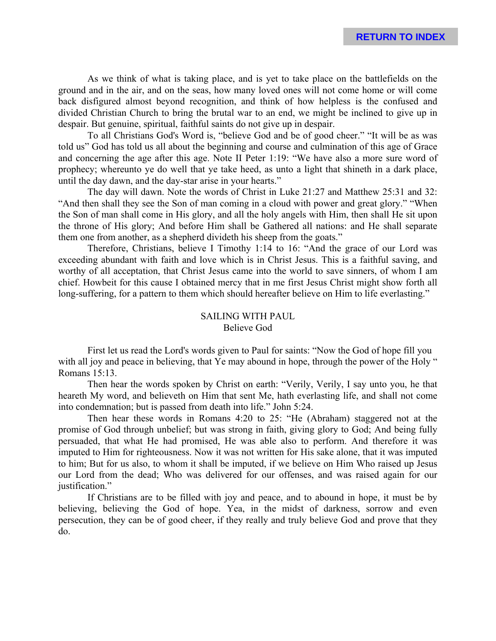As we think of what is taking place, and is yet to take place on the battlefields on the ground and in the air, and on the seas, how many loved ones will not come home or will come back disfigured almost beyond recognition, and think of how helpless is the confused and divided Christian Church to bring the brutal war to an end, we might be inclined to give up in despair. But genuine, spiritual, faithful saints do not give up in despair.

To all Christians God's Word is, "believe God and be of good cheer." "It will be as was told us" God has told us all about the beginning and course and culmination of this age of Grace and concerning the age after this age. Note II Peter 1:19: "We have also a more sure word of prophecy; whereunto ye do well that ye take heed, as unto a light that shineth in a dark place, until the day dawn, and the day-star arise in your hearts."

The day will dawn. Note the words of Christ in Luke 21:27 and Matthew 25:31 and 32: "And then shall they see the Son of man coming in a cloud with power and great glory." "When the Son of man shall come in His glory, and all the holy angels with Him, then shall He sit upon the throne of His glory; And before Him shall be Gathered all nations: and He shall separate them one from another, as a shepherd divideth his sheep from the goats."

Therefore, Christians, believe I Timothy 1:14 to 16: "And the grace of our Lord was exceeding abundant with faith and love which is in Christ Jesus. This is a faithful saving, and worthy of all acceptation, that Christ Jesus came into the world to save sinners, of whom I am chief. Howbeit for this cause I obtained mercy that in me first Jesus Christ might show forth all long-suffering, for a pattern to them which should hereafter believe on Him to life everlasting."

#### SAILING WITH PAUL Believe God

First let us read the Lord's words given to Paul for saints: "Now the God of hope fill you with all joy and peace in believing, that Ye may abound in hope, through the power of the Holy " Romans 15:13.

Then hear the words spoken by Christ on earth: "Verily, Verily, I say unto you, he that heareth My word, and believeth on Him that sent Me, hath everlasting life, and shall not come into condemnation; but is passed from death into life." John 5:24.

Then hear these words in Romans 4:20 to 25: "He (Abraham) staggered not at the promise of God through unbelief; but was strong in faith, giving glory to God; And being fully persuaded, that what He had promised, He was able also to perform. And therefore it was imputed to Him for righteousness. Now it was not written for His sake alone, that it was imputed to him; But for us also, to whom it shall be imputed, if we believe on Him Who raised up Jesus our Lord from the dead; Who was delivered for our offenses, and was raised again for our justification."

If Christians are to be filled with joy and peace, and to abound in hope, it must be by believing, believing the God of hope. Yea, in the midst of darkness, sorrow and even persecution, they can be of good cheer, if they really and truly believe God and prove that they do.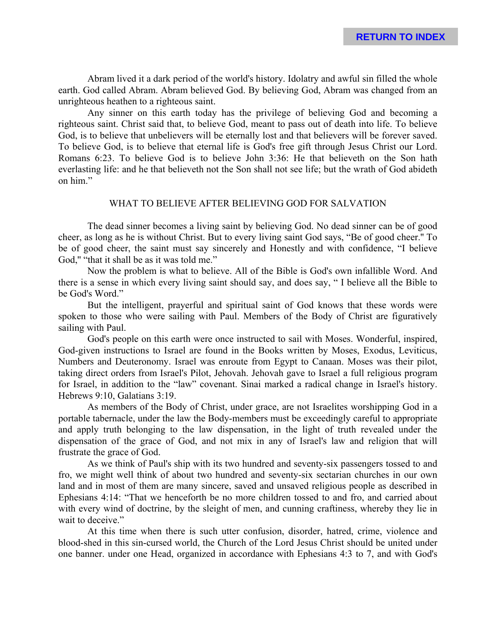Abram lived it a dark period of the world's history. Idolatry and awful sin filled the whole earth. God called Abram. Abram believed God. By believing God, Abram was changed from an unrighteous heathen to a righteous saint.

Any sinner on this earth today has the privilege of believing God and becoming a righteous saint. Christ said that, to believe God, meant to pass out of death into life. To believe God, is to believe that unbelievers will be eternally lost and that believers will be forever saved. To believe God, is to believe that eternal life is God's free gift through Jesus Christ our Lord. Romans 6:23. To believe God is to believe John 3:36: He that believeth on the Son hath everlasting life: and he that believeth not the Son shall not see life; but the wrath of God abideth on him."

### WHAT TO BELIEVE AFTER BELIEVING GOD FOR SALVATION

The dead sinner becomes a living saint by believing God. No dead sinner can be of good cheer, as long as he is without Christ. But to every living saint God says, "Be of good cheer.'' To be of good cheer, the saint must say sincerely and Honestly and with confidence, "I believe God," "that it shall be as it was told me."

Now the problem is what to believe. All of the Bible is God's own infallible Word. And there is a sense in which every living saint should say, and does say, " I believe all the Bible to be God's Word."

But the intelligent, prayerful and spiritual saint of God knows that these words were spoken to those who were sailing with Paul. Members of the Body of Christ are figuratively sailing with Paul.

God's people on this earth were once instructed to sail with Moses. Wonderful, inspired, God-given instructions to Israel are found in the Books written by Moses, Exodus, Leviticus, Numbers and Deuteronomy. Israel was enroute from Egypt to Canaan. Moses was their pilot, taking direct orders from Israel's Pilot, Jehovah. Jehovah gave to Israel a full religious program for Israel, in addition to the "law" covenant. Sinai marked a radical change in Israel's history. Hebrews 9:10, Galatians 3:19.

As members of the Body of Christ, under grace, are not Israelites worshipping God in a portable tabernacle, under the law the Body-members must be exceedingly careful to appropriate and apply truth belonging to the law dispensation, in the light of truth revealed under the dispensation of the grace of God, and not mix in any of Israel's law and religion that will frustrate the grace of God.

As we think of Paul's ship with its two hundred and seventy-six passengers tossed to and fro, we might well think of about two hundred and seventy-six sectarian churches in our own land and in most of them are many sincere, saved and unsaved religious people as described in Ephesians 4:14: "That we henceforth be no more children tossed to and fro, and carried about with every wind of doctrine, by the sleight of men, and cunning craftiness, whereby they lie in wait to deceive."

At this time when there is such utter confusion, disorder, hatred, crime, violence and blood-shed in this sin-cursed world, the Church of the Lord Jesus Christ should be united under one banner. under one Head, organized in accordance with Ephesians 4:3 to 7, and with God's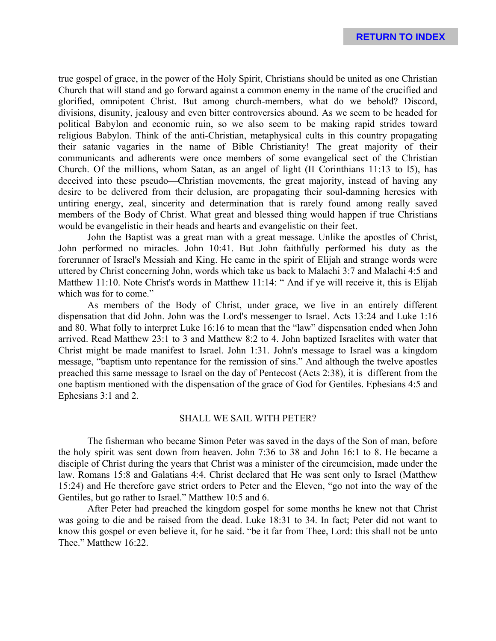true gospel of grace, in the power of the Holy Spirit, Christians should be united as one Christian Church that will stand and go forward against a common enemy in the name of the crucified and glorified, omnipotent Christ. But among church-members, what do we behold? Discord, divisions, disunity, jealousy and even bitter controversies abound. As we seem to be headed for political Babylon and economic ruin, so we also seem to be making rapid strides toward religious Babylon. Think of the anti-Christian, metaphysical cults in this country propagating their satanic vagaries in the name of Bible Christianity! The great majority of their communicants and adherents were once members of some evangelical sect of the Christian Church. Of the millions, whom Satan, as an angel of light (II Corinthians 11:13 to l5), has deceived into these pseudo—Christian movements, the great majority, instead of having any desire to be delivered from their delusion, are propagating their soul-damning heresies with untiring energy, zeal, sincerity and determination that is rarely found among really saved members of the Body of Christ. What great and blessed thing would happen if true Christians would be evangelistic in their heads and hearts and evangelistic on their feet.

John the Baptist was a great man with a great message. Unlike the apostles of Christ, John performed no miracles. John 10:41. But John faithfully performed his duty as the forerunner of Israel's Messiah and King. He came in the spirit of Elijah and strange words were uttered by Christ concerning John, words which take us back to Malachi 3:7 and Malachi 4:5 and Matthew 11:10. Note Christ's words in Matthew 11:14: "And if ye will receive it, this is Elijah which was for to come."

As members of the Body of Christ, under grace, we live in an entirely different dispensation that did John. John was the Lord's messenger to Israel. Acts 13:24 and Luke 1:16 and 80. What folly to interpret Luke 16:16 to mean that the "law" dispensation ended when John arrived. Read Matthew 23:1 to 3 and Matthew 8:2 to 4. John baptized Israelites with water that Christ might be made manifest to Israel. John 1:31. John's message to Israel was a kingdom message, "baptism unto repentance for the remission of sins." And although the twelve apostles preached this same message to Israel on the day of Pentecost (Acts 2:38), it is different from the one baptism mentioned with the dispensation of the grace of God for Gentiles. Ephesians 4:5 and Ephesians 3:1 and 2.

# SHALL WE SAIL WITH PETER?

The fisherman who became Simon Peter was saved in the days of the Son of man, before the holy spirit was sent down from heaven. John 7:36 to 38 and John 16:1 to 8. He became a disciple of Christ during the years that Christ was a minister of the circumcision, made under the law. Romans 15:8 and Galatians 4:4. Christ declared that He was sent only to Israel (Matthew 15:24) and He therefore gave strict orders to Peter and the Eleven, "go not into the way of the Gentiles, but go rather to Israel." Matthew 10:5 and 6.

After Peter had preached the kingdom gospel for some months he knew not that Christ was going to die and be raised from the dead. Luke 18:31 to 34. In fact; Peter did not want to know this gospel or even believe it, for he said. "be it far from Thee, Lord: this shall not be unto Thee." Matthew 16:22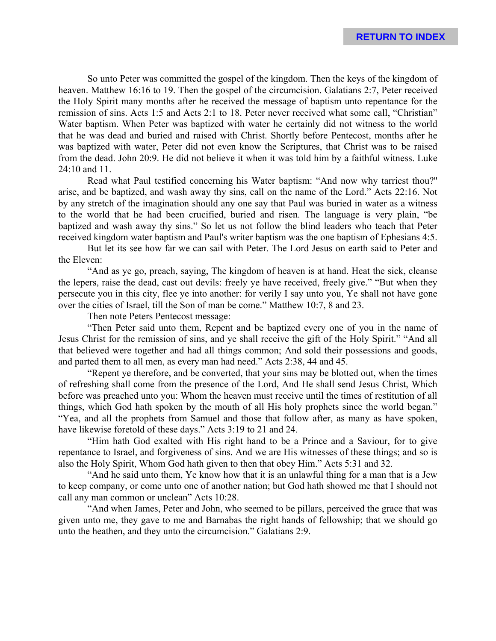So unto Peter was committed the gospel of the kingdom. Then the keys of the kingdom of heaven. Matthew 16:16 to 19. Then the gospel of the circumcision. Galatians 2:7, Peter received the Holy Spirit many months after he received the message of baptism unto repentance for the remission of sins. Acts 1:5 and Acts 2:1 to 18. Peter never received what some call, "Christian" Water baptism. When Peter was baptized with water he certainly did not witness to the world that he was dead and buried and raised with Christ. Shortly before Pentecost, months after he was baptized with water, Peter did not even know the Scriptures, that Christ was to be raised from the dead. John 20:9. He did not believe it when it was told him by a faithful witness. Luke 24:10 and 11.

Read what Paul testified concerning his Water baptism: "And now why tarriest thou?'' arise, and be baptized, and wash away thy sins, call on the name of the Lord." Acts 22:16. Not by any stretch of the imagination should any one say that Paul was buried in water as a witness to the world that he had been crucified, buried and risen. The language is very plain, "be baptized and wash away thy sins." So let us not follow the blind leaders who teach that Peter received kingdom water baptism and Paul's writer baptism was the one baptism of Ephesians 4:5.

But let its see how far we can sail with Peter. The Lord Jesus on earth said to Peter and the Eleven:

"And as ye go, preach, saying, The kingdom of heaven is at hand. Heat the sick, cleanse the lepers, raise the dead, cast out devils: freely ye have received, freely give." "But when they persecute you in this city, flee ye into another: for verily I say unto you, Ye shall not have gone over the cities of Israel, till the Son of man be come." Matthew 10:7, 8 and 23.

Then note Peters Pentecost message:

"Then Peter said unto them, Repent and be baptized every one of you in the name of Jesus Christ for the remission of sins, and ye shall receive the gift of the Holy Spirit." "And all that believed were together and had all things common; And sold their possessions and goods, and parted them to all men, as every man had need." Acts 2:38, 44 and 45.

"Repent ye therefore, and be converted, that your sins may be blotted out, when the times of refreshing shall come from the presence of the Lord, And He shall send Jesus Christ, Which before was preached unto you: Whom the heaven must receive until the times of restitution of all things, which God hath spoken by the mouth of all His holy prophets since the world began." "Yea, and all the prophets from Samuel and those that follow after, as many as have spoken, have likewise foretold of these days." Acts 3:19 to 21 and 24.

"Him hath God exalted with His right hand to be a Prince and a Saviour, for to give repentance to Israel, and forgiveness of sins. And we are His witnesses of these things; and so is also the Holy Spirit, Whom God hath given to then that obey Him." Acts 5:31 and 32.

"And he said unto them, Ye know how that it is an unlawful thing for a man that is a Jew to keep company, or come unto one of another nation; but God hath showed me that I should not call any man common or unclean" Acts 10:28.

"And when James, Peter and John, who seemed to be pillars, perceived the grace that was given unto me, they gave to me and Barnabas the right hands of fellowship; that we should go unto the heathen, and they unto the circumcision." Galatians 2:9.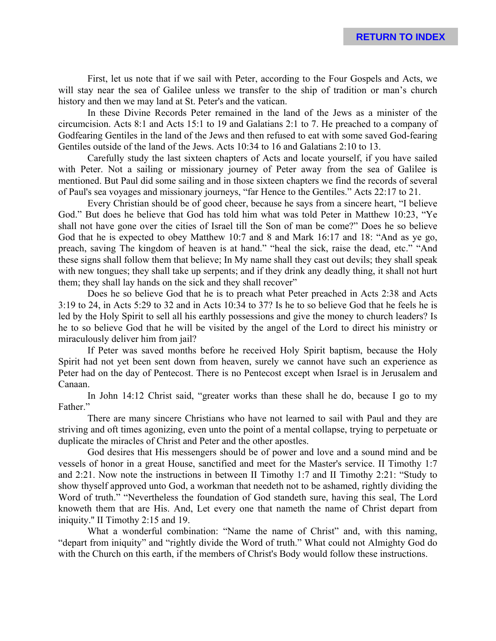First, let us note that if we sail with Peter, according to the Four Gospels and Acts, we will stay near the sea of Galilee unless we transfer to the ship of tradition or man's church history and then we may land at St. Peter's and the vatican.

In these Divine Records Peter remained in the land of the Jews as a minister of the circumcision. Acts 8:1 and Acts 15:1 to 19 and Galatians 2:1 to 7. He preached to a company of Godfearing Gentiles in the land of the Jews and then refused to eat with some saved God-fearing Gentiles outside of the land of the Jews. Acts 10:34 to 16 and Galatians 2:10 to 13.

Carefully study the last sixteen chapters of Acts and locate yourself, if you have sailed with Peter. Not a sailing or missionary journey of Peter away from the sea of Galilee is mentioned. But Paul did some sailing and in those sixteen chapters we find the records of several of Paul's sea voyages and missionary journeys, "far Hence to the Gentiles." Acts 22:17 to 21.

Every Christian should be of good cheer, because he says from a sincere heart, "I believe God." But does he believe that God has told him what was told Peter in Matthew 10:23, "Ye shall not have gone over the cities of Israel till the Son of man be come?" Does he so believe God that he is expected to obey Matthew 10:7 and 8 and Mark 16:17 and 18: "And as ye go, preach, saving The kingdom of heaven is at hand." "heal the sick, raise the dead, etc." "And these signs shall follow them that believe; In My name shall they cast out devils; they shall speak with new tongues; they shall take up serpents; and if they drink any deadly thing, it shall not hurt them; they shall lay hands on the sick and they shall recover"

Does he so believe God that he is to preach what Peter preached in Acts 2:38 and Acts 3:19 to 24, in Acts 5:29 to 32 and in Acts 10:34 to 37? Is he to so believe God that he feels he is led by the Holy Spirit to sell all his earthly possessions and give the money to church leaders? Is he to so believe God that he will be visited by the angel of the Lord to direct his ministry or miraculously deliver him from jail?

If Peter was saved months before he received Holy Spirit baptism, because the Holy Spirit had not yet been sent down from heaven, surely we cannot have such an experience as Peter had on the day of Pentecost. There is no Pentecost except when Israel is in Jerusalem and Canaan.

In John 14:12 Christ said, "greater works than these shall he do, because I go to my Father."

There are many sincere Christians who have not learned to sail with Paul and they are striving and oft times agonizing, even unto the point of a mental collapse, trying to perpetuate or duplicate the miracles of Christ and Peter and the other apostles.

God desires that His messengers should be of power and love and a sound mind and be vessels of honor in a great House, sanctified and meet for the Master's service. II Timothy 1:7 and 2:21. Now note the instructions in between II Timothy 1:7 and II Timothy 2:21: "Study to show thyself approved unto God, a workman that needeth not to be ashamed, rightly dividing the Word of truth." "Nevertheless the foundation of God standeth sure, having this seal, The Lord knoweth them that are His. And, Let every one that nameth the name of Christ depart from iniquity.'' II Timothy 2:15 and 19.

What a wonderful combination: "Name the name of Christ" and, with this naming, "depart from iniquity" and "rightly divide the Word of truth." What could not Almighty God do with the Church on this earth, if the members of Christ's Body would follow these instructions.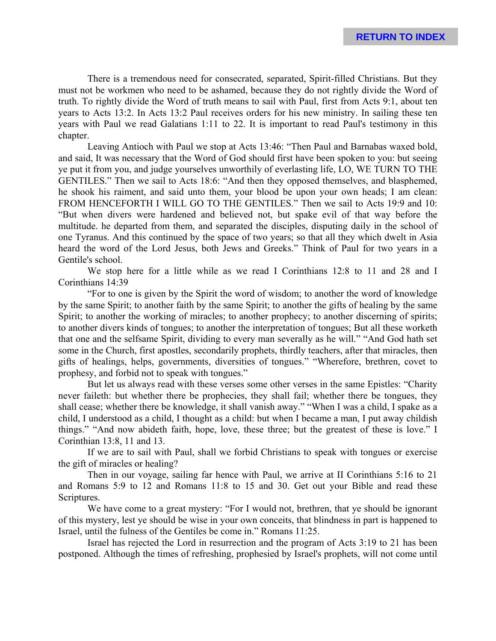There is a tremendous need for consecrated, separated, Spirit-filled Christians. But they must not be workmen who need to be ashamed, because they do not rightly divide the Word of truth. To rightly divide the Word of truth means to sail with Paul, first from Acts 9:1, about ten years to Acts 13:2. In Acts 13:2 Paul receives orders for his new ministry. In sailing these ten years with Paul we read Galatians 1:11 to 22. It is important to read Paul's testimony in this chapter.

Leaving Antioch with Paul we stop at Acts 13:46: "Then Paul and Barnabas waxed bold, and said, It was necessary that the Word of God should first have been spoken to you: but seeing ye put it from you, and judge yourselves unworthily of everlasting life, LO, WE TURN TO THE GENTILES." Then we sail to Acts 18:6: "And then they opposed themselves, and blasphemed, he shook his raiment, and said unto them, your blood be upon your own heads; I am clean: FROM HENCEFORTH I WILL GO TO THE GENTILES." Then we sail to Acts 19:9 and 10: "But when divers were hardened and believed not, but spake evil of that way before the multitude. he departed from them, and separated the disciples, disputing daily in the school of one Tyranus. And this continued by the space of two years; so that all they which dwelt in Asia heard the word of the Lord Jesus, both Jews and Greeks." Think of Paul for two years in a Gentile's school.

We stop here for a little while as we read I Corinthians 12:8 to 11 and 28 and I Corinthians 14:39

"For to one is given by the Spirit the word of wisdom; to another the word of knowledge by the same Spirit; to another faith by the same Spirit; to another the gifts of healing by the same Spirit; to another the working of miracles; to another prophecy; to another discerning of spirits; to another divers kinds of tongues; to another the interpretation of tongues; But all these worketh that one and the selfsame Spirit, dividing to every man severally as he will." "And God hath set some in the Church, first apostles, secondarily prophets, thirdly teachers, after that miracles, then gifts of healings, helps, governments, diversities of tongues." "Wherefore, brethren, covet to prophesy, and forbid not to speak with tongues."

But let us always read with these verses some other verses in the same Epistles: "Charity never faileth: but whether there be prophecies, they shall fail; whether there be tongues, they shall cease; whether there be knowledge, it shall vanish away." "When I was a child, I spake as a child, I understood as a child, I thought as a child: but when I became a man, I put away childish things." "And now abideth faith, hope, love, these three; but the greatest of these is love." I Corinthian 13:8, 11 and 13.

If we are to sail with Paul, shall we forbid Christians to speak with tongues or exercise the gift of miracles or healing?

Then in our voyage, sailing far hence with Paul, we arrive at II Corinthians 5:16 to 21 and Romans 5:9 to 12 and Romans 11:8 to 15 and 30. Get out your Bible and read these Scriptures.

We have come to a great mystery: "For I would not, brethren, that ye should be ignorant of this mystery, lest ye should be wise in your own conceits, that blindness in part is happened to Israel, until the fulness of the Gentiles be come in." Romans 11:25.

Israel has rejected the Lord in resurrection and the program of Acts 3:19 to 21 has been postponed. Although the times of refreshing, prophesied by Israel's prophets, will not come until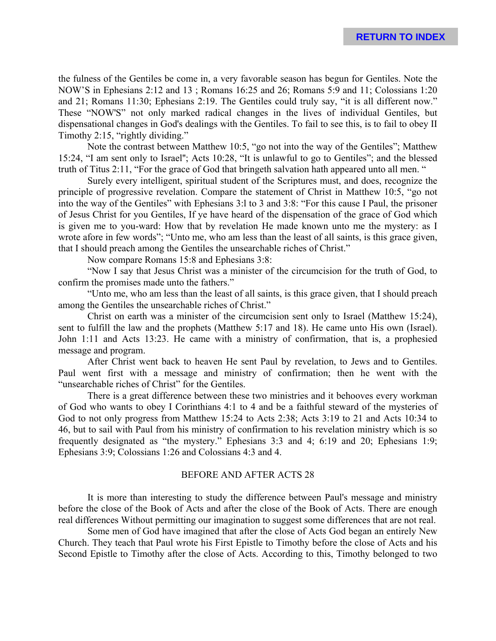the fulness of the Gentiles be come in, a very favorable season has begun for Gentiles. Note the NOW'S in Ephesians 2:12 and 13 ; Romans 16:25 and 26; Romans 5:9 and 11; Colossians 1:20 and 21; Romans 11:30; Ephesians 2:19. The Gentiles could truly say, "it is all different now." These "NOW'S" not only marked radical changes in the lives of individual Gentiles, but dispensational changes in God's dealings with the Gentiles. To fail to see this, is to fail to obey II Timothy 2:15, "rightly dividing."

Note the contrast between Matthew 10:5, "go not into the way of the Gentiles"; Matthew 15:24, "I am sent only to Israel''; Acts 10:28, "It is unlawful to go to Gentiles"; and the blessed truth of Titus 2:11, "For the grace of God that bringeth salvation hath appeared unto all men. "

Surely every intelligent, spiritual student of the Scriptures must, and does, recognize the principle of progressive revelation. Compare the statement of Christ in Matthew 10:5, "go not into the way of the Gentiles" with Ephesians 3:l to 3 and 3:8: "For this cause I Paul, the prisoner of Jesus Christ for you Gentiles, If ye have heard of the dispensation of the grace of God which is given me to you-ward: How that by revelation He made known unto me the mystery: as I wrote afore in few words"; "Unto me, who am less than the least of all saints, is this grace given, that I should preach among the Gentiles the unsearchable riches of Christ."

Now compare Romans 15:8 and Ephesians 3:8:

"Now I say that Jesus Christ was a minister of the circumcision for the truth of God, to confirm the promises made unto the fathers."

"Unto me, who am less than the least of all saints, is this grace given, that I should preach among the Gentiles the unsearchable riches of Christ."

Christ on earth was a minister of the circumcision sent only to Israel (Matthew 15:24), sent to fulfill the law and the prophets (Matthew 5:17 and 18). He came unto His own (Israel). John 1:11 and Acts 13:23. He came with a ministry of confirmation, that is, a prophesied message and program.

After Christ went back to heaven He sent Paul by revelation, to Jews and to Gentiles. Paul went first with a message and ministry of confirmation; then he went with the "unsearchable riches of Christ" for the Gentiles.

There is a great difference between these two ministries and it behooves every workman of God who wants to obey I Corinthians 4:1 to 4 and be a faithful steward of the mysteries of God to not only progress from Matthew 15:24 to Acts 2:38; Acts 3:19 to 21 and Acts 10:34 to 46, but to sail with Paul from his ministry of confirmation to his revelation ministry which is so frequently designated as "the mystery." Ephesians 3:3 and 4; 6:19 and 20; Ephesians 1:9; Ephesians 3:9; Colossians 1:26 and Colossians 4:3 and 4.

# BEFORE AND AFTER ACTS 28

It is more than interesting to study the difference between Paul's message and ministry before the close of the Book of Acts and after the close of the Book of Acts. There are enough real differences Without permitting our imagination to suggest some differences that are not real.

Some men of God have imagined that after the close of Acts God began an entirely New Church. They teach that Paul wrote his First Epistle to Timothy before the close of Acts and his Second Epistle to Timothy after the close of Acts. According to this, Timothy belonged to two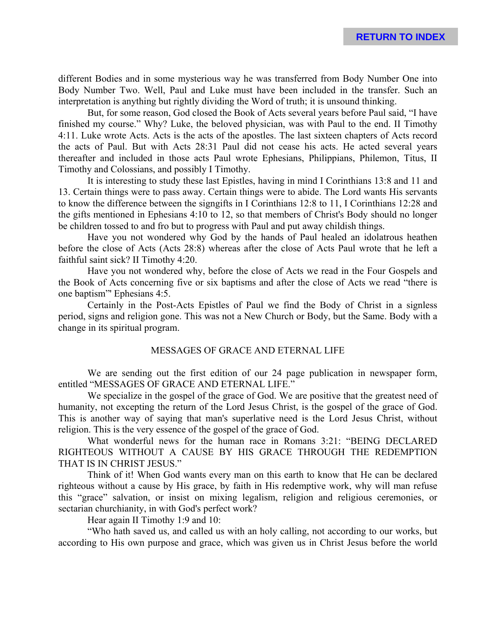different Bodies and in some mysterious way he was transferred from Body Number One into Body Number Two. Well, Paul and Luke must have been included in the transfer. Such an interpretation is anything but rightly dividing the Word of truth; it is unsound thinking.

But, for some reason, God closed the Book of Acts several years before Paul said, "I have finished my course." Why? Luke, the beloved physician, was with Paul to the end. II Timothy 4:11. Luke wrote Acts. Acts is the acts of the apostles. The last sixteen chapters of Acts record the acts of Paul. But with Acts 28:31 Paul did not cease his acts. He acted several years thereafter and included in those acts Paul wrote Ephesians, Philippians, Philemon, Titus, II Timothy and Colossians, and possibly I Timothy.

It is interesting to study these last Epistles, having in mind I Corinthians 13:8 and 11 and 13. Certain things were to pass away. Certain things were to abide. The Lord wants His servants to know the difference between the signgifts in I Corinthians 12:8 to 11, I Corinthians 12:28 and the gifts mentioned in Ephesians 4:10 to 12, so that members of Christ's Body should no longer be children tossed to and fro but to progress with Paul and put away childish things.

Have you not wondered why God by the hands of Paul healed an idolatrous heathen before the close of Acts (Acts 28:8) whereas after the close of Acts Paul wrote that he left a faithful saint sick? II Timothy 4:20.

Have you not wondered why, before the close of Acts we read in the Four Gospels and the Book of Acts concerning five or six baptisms and after the close of Acts we read "there is one baptism"' Ephesians 4:5.

Certainly in the Post-Acts Epistles of Paul we find the Body of Christ in a signless period, signs and religion gone. This was not a New Church or Body, but the Same. Body with a change in its spiritual program.

# MESSAGES OF GRACE AND ETERNAL LIFE

We are sending out the first edition of our 24 page publication in newspaper form, entitled "MESSAGES OF GRACE AND ETERNAL LIFE."

We specialize in the gospel of the grace of God. We are positive that the greatest need of humanity, not excepting the return of the Lord Jesus Christ, is the gospel of the grace of God. This is another way of saying that man's superlative need is the Lord Jesus Christ, without religion. This is the very essence of the gospel of the grace of God.

What wonderful news for the human race in Romans 3:21: "BEING DECLARED RIGHTEOUS WITHOUT A CAUSE BY HIS GRACE THROUGH THE REDEMPTION THAT IS IN CHRIST JESUS."

Think of it! When God wants every man on this earth to know that He can be declared righteous without a cause by His grace, by faith in His redemptive work, why will man refuse this "grace" salvation, or insist on mixing legalism, religion and religious ceremonies, or sectarian churchianity, in with God's perfect work?

Hear again II Timothy 1:9 and 10:

"Who hath saved us, and called us with an holy calling, not according to our works, but according to His own purpose and grace, which was given us in Christ Jesus before the world